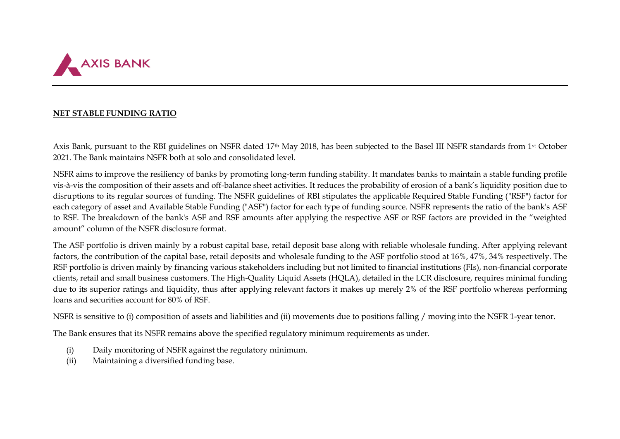

## **NET STABLE FUNDING RATIO**

Axis Bank, pursuant to the RBI guidelines on NSFR dated 17<sup>th</sup> May 2018, has been subjected to the Basel III NSFR standards from 1<sup>st</sup> October 2021. The Bank maintains NSFR both at solo and consolidated level.

NSFR aims to improve the resiliency of banks by promoting long-term funding stability. It mandates banks to maintain a stable funding profile vis-à-vis the composition of their assets and off-balance sheet activities. It reduces the probability of erosion of a bank's liquidity position due to disruptions to its regular sources of funding. The NSFR guidelines of RBI stipulates the applicable Required Stable Funding ("RSF") factor for each category of asset and Available Stable Funding ("ASF") factor for each type of funding source. NSFR represents the ratio of the bank's ASF to RSF. The breakdown of the bank's ASF and RSF amounts after applying the respective ASF or RSF factors are provided in the "weighted amount" column of the NSFR disclosure format.

The ASF portfolio is driven mainly by a robust capital base, retail deposit base along with reliable wholesale funding. After applying relevant factors, the contribution of the capital base, retail deposits and wholesale funding to the ASF portfolio stood at 16%, 47%, 34% respectively. The RSF portfolio is driven mainly by financing various stakeholders including but not limited to financial institutions (FIs), non-financial corporate clients, retail and small business customers. The High-Quality Liquid Assets (HQLA), detailed in the LCR disclosure, requires minimal funding due to its superior ratings and liquidity, thus after applying relevant factors it makes up merely 2% of the RSF portfolio whereas performing loans and securities account for 80% of RSF.

NSFR is sensitive to (i) composition of assets and liabilities and (ii) movements due to positions falling / moving into the NSFR 1-year tenor.

The Bank ensures that its NSFR remains above the specified regulatory minimum requirements as under.

- (i) Daily monitoring of NSFR against the regulatory minimum.
- (ii) Maintaining a diversified funding base.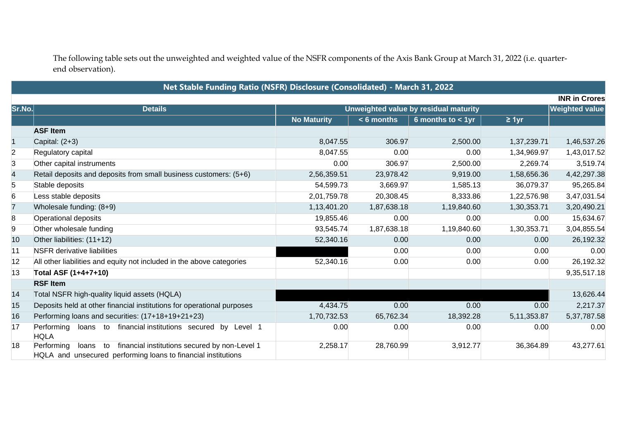The following table sets out the unweighted and weighted value of the NSFR components of the Axis Bank Group at March 31, 2022 (i.e. quarterend observation).

## **Net Stable Funding Ratio (NSFR) Disclosure (Consolidated) - March 31, 2022**

|        | <b>INR in Crores</b>                                                                                                                        |                                       |                       |                     |               |             |
|--------|---------------------------------------------------------------------------------------------------------------------------------------------|---------------------------------------|-----------------------|---------------------|---------------|-------------|
| Sr.No. | <b>Details</b>                                                                                                                              | Unweighted value by residual maturity | <b>Weighted value</b> |                     |               |             |
|        |                                                                                                                                             | <b>No Maturity</b>                    | $< 6$ months          | 6 months to $<$ 1yr | $\geq 1$ yr   |             |
|        | <b>ASF Item</b>                                                                                                                             |                                       |                       |                     |               |             |
|        | Capital: $(2+3)$                                                                                                                            | 8,047.55                              | 306.97                | 2,500.00            | 1,37,239.71   | 1,46,537.26 |
| 2      | Regulatory capital                                                                                                                          | 8,047.55                              | 0.00                  | 0.00                | 1,34,969.97   | 1,43,017.52 |
| 3      | Other capital instruments                                                                                                                   | 0.00                                  | 306.97                | 2,500.00            | 2,269.74      | 3,519.74    |
| 4      | Retail deposits and deposits from small business customers: (5+6)                                                                           | 2,56,359.51                           | 23,978.42             | 9,919.00            | 1,58,656.36   | 4,42,297.38 |
| 5      | Stable deposits                                                                                                                             | 54,599.73                             | 3,669.97              | 1,585.13            | 36,079.37     | 95,265.84   |
| 6      | Less stable deposits                                                                                                                        | 2,01,759.78                           | 20,308.45             | 8,333.86            | 1,22,576.98   | 3,47,031.54 |
|        | Wholesale funding: (8+9)                                                                                                                    | 1,13,401.20                           | 1,87,638.18           | 1,19,840.60         | 1,30,353.71   | 3,20,490.21 |
| 8      | Operational deposits                                                                                                                        | 19,855.46                             | 0.00                  | 0.00                | 0.00          | 15,634.67   |
| 9      | Other wholesale funding                                                                                                                     | 93,545.74                             | 1,87,638.18           | 1,19,840.60         | 1,30,353.71   | 3,04,855.54 |
| 10     | Other liabilities: (11+12)                                                                                                                  | 52,340.16                             | 0.00                  | 0.00                | 0.00          | 26,192.32   |
| 11     | <b>NSFR</b> derivative liabilities                                                                                                          |                                       | 0.00                  | 0.00                | 0.00          | 0.00        |
| 12     | All other liabilities and equity not included in the above categories                                                                       | 52,340.16                             | 0.00                  | 0.00                | 0.00          | 26,192.32   |
| 13     | Total ASF (1+4+7+10)                                                                                                                        |                                       |                       |                     |               | 9,35,517.18 |
|        | <b>RSF Item</b>                                                                                                                             |                                       |                       |                     |               |             |
| 14     | Total NSFR high-quality liquid assets (HQLA)                                                                                                |                                       |                       |                     |               | 13,626.44   |
| 15     | Deposits held at other financial institutions for operational purposes                                                                      | 4,434.75                              | 0.00                  | 0.00                | 0.00          | 2,217.37    |
| 16     | Performing loans and securities: (17+18+19+21+23)                                                                                           | 1,70,732.53                           | 65,762.34             | 18,392.28           | 5, 11, 353.87 | 5,37,787.58 |
| 17     | financial institutions secured by Level 1<br>Performing<br>loans to<br><b>HQLA</b>                                                          | 0.00                                  | 0.00                  | 0.00                | 0.00          | 0.00        |
| 18     | financial institutions secured by non-Level 1<br>Performing<br>loans<br>to<br>HQLA and unsecured performing loans to financial institutions | 2,258.17                              | 28,760.99             | 3,912.77            | 36,364.89     | 43,277.61   |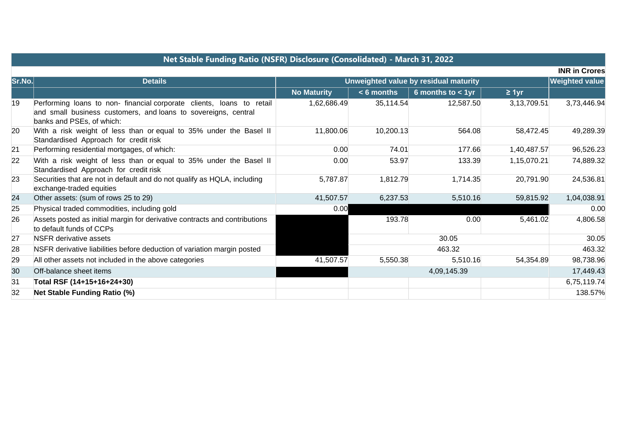|        | Net Stable Funding Ratio (NSFR) Disclosure (Consolidated) - March 31, 2022                                                                                          |                                       |              |                      |             |                       |  |  |
|--------|---------------------------------------------------------------------------------------------------------------------------------------------------------------------|---------------------------------------|--------------|----------------------|-------------|-----------------------|--|--|
|        |                                                                                                                                                                     |                                       |              |                      |             | <b>INR in Crores</b>  |  |  |
| Sr.No. | <b>Details</b>                                                                                                                                                      | Unweighted value by residual maturity |              |                      |             | <b>Weighted value</b> |  |  |
|        |                                                                                                                                                                     | <b>No Maturity</b>                    | $< 6$ months | 6 months to $< 1$ yr | $\geq 1$ yr |                       |  |  |
| 19     | Performing loans to non-financial corporate clients, loans to retail<br>and small business customers, and loans to sovereigns, central<br>banks and PSEs, of which: | 1,62,686.49                           | 35,114.54    | 12,587.50            | 3,13,709.51 | 3,73,446.94           |  |  |
| 20     | With a risk weight of less than or equal to 35% under the Basel II<br>Standardised Approach for credit risk                                                         | 11,800.06                             | 10,200.13    | 564.08               | 58,472.45   | 49,289.39             |  |  |
| 21     | Performing residential mortgages, of which:                                                                                                                         | 0.00                                  | 74.01        | 177.66               | 1,40,487.57 | 96,526.23             |  |  |
| 22     | With a risk weight of less than or equal to 35% under the Basel II<br>Standardised Approach for credit risk                                                         | 0.00                                  | 53.97        | 133.39               | 1,15,070.21 | 74,889.32             |  |  |
| 23     | Securities that are not in default and do not qualify as HQLA, including<br>exchange-traded equities                                                                | 5,787.87                              | 1,812.79     | 1,714.35             | 20,791.90   | 24,536.81             |  |  |
| 24     | Other assets: (sum of rows 25 to 29)                                                                                                                                | 41,507.57                             | 6,237.53     | 5,510.16             | 59,815.92   | 1,04,038.91           |  |  |
| 25     | Physical traded commodities, including gold                                                                                                                         | 0.00                                  |              |                      |             | 0.00                  |  |  |
| 26     | Assets posted as initial margin for derivative contracts and contributions<br>to default funds of CCPs                                                              |                                       | 193.78       | 0.00                 | 5,461.02    | 4,806.58              |  |  |
| 27     | <b>NSFR</b> derivative assets                                                                                                                                       |                                       |              | 30.05                |             | 30.05                 |  |  |
| 28     | NSFR derivative liabilities before deduction of variation margin posted                                                                                             |                                       | 463.32       |                      |             | 463.32                |  |  |
| 29     | All other assets not included in the above categories                                                                                                               | 41,507.57                             | 5,550.38     | 5,510.16             | 54,354.89   | 98,738.96             |  |  |
| 30     | Off-balance sheet items                                                                                                                                             |                                       |              | 4,09,145.39          |             | 17,449.43             |  |  |
| 31     | Total RSF (14+15+16+24+30)                                                                                                                                          |                                       |              |                      |             | 6,75,119.74           |  |  |
| 32     | <b>Net Stable Funding Ratio (%)</b>                                                                                                                                 |                                       |              |                      |             | 138.57%               |  |  |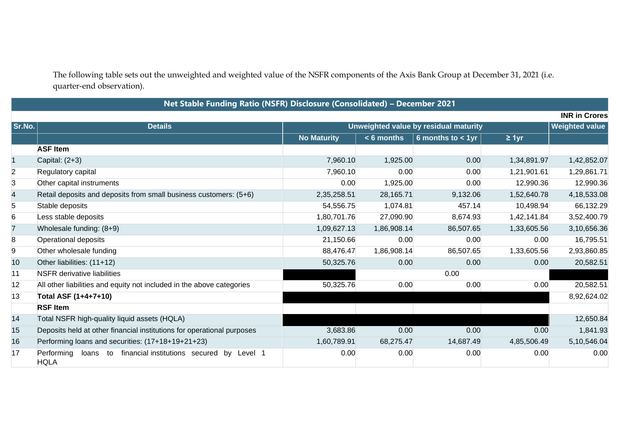The following table sets out the unweighted and weighted value of the NSFR components of the Axis Bank Group at December 31, 2021 (i.e. quarter-end observation).

**Net Stable Funding Ratio (NSFR) Disclosure (Consolidated) – December 2021**

| <b>INR in Crores</b> |                                                                                       |                    |                                                                |                     |             |             |  |
|----------------------|---------------------------------------------------------------------------------------|--------------------|----------------------------------------------------------------|---------------------|-------------|-------------|--|
| $ $ Sr.No. $ $       | <b>Details</b>                                                                        |                    | <b>Weighted value</b><br>Unweighted value by residual maturity |                     |             |             |  |
|                      |                                                                                       | <b>No Maturity</b> | $< 6$ months                                                   | 6 months to $<$ 1yr | $\geq 1$ yr |             |  |
|                      | <b>ASF Item</b>                                                                       |                    |                                                                |                     |             |             |  |
|                      | Capital: $(2+3)$                                                                      | 7,960.10           | 1,925.00                                                       | 0.00                | 1,34,891.97 | 1,42,852.07 |  |
| $\overline{2}$       | Regulatory capital                                                                    | 7,960.10           | 0.00                                                           | 0.00                | 1,21,901.61 | 1,29,861.71 |  |
| 3                    | Other capital instruments                                                             | 0.00               | 1,925.00                                                       | 0.00                | 12,990.36   | 12,990.36   |  |
| 4                    | Retail deposits and deposits from small business customers: (5+6)                     | 2,35,258.51        | 28,165.71                                                      | 9,132.06            | 1,52,640.78 | 4,18,533.08 |  |
| 5                    | Stable deposits                                                                       | 54,556.75          | 1,074.81                                                       | 457.14              | 10,498.94   | 66,132.29   |  |
| 6                    | Less stable deposits                                                                  | 1,80,701.76        | 27,090.90                                                      | 8,674.93            | 1,42,141.84 | 3,52,400.79 |  |
|                      | Wholesale funding: (8+9)                                                              | 1,09,627.13        | 1,86,908.14                                                    | 86,507.65           | 1,33,605.56 | 3,10,656.36 |  |
| 8                    | Operational deposits                                                                  | 21,150.66          | 0.00                                                           | 0.00                | 0.00        | 16,795.51   |  |
| 9                    | Other wholesale funding                                                               | 88,476.47          | 1,86,908.14                                                    | 86,507.65           | 1,33,605.56 | 2,93,860.85 |  |
| 10                   | Other liabilities: (11+12)                                                            | 50,325.76          | 0.00                                                           | 0.00                | 0.00        | 20,582.51   |  |
| 11                   | <b>NSFR</b> derivative liabilities                                                    |                    |                                                                | 0.00                |             |             |  |
| 12                   | All other liabilities and equity not included in the above categories                 | 50,325.76          | 0.00                                                           | 0.00                | 0.00        | 20,582.51   |  |
| $ 13\rangle$         | Total ASF (1+4+7+10)                                                                  |                    |                                                                |                     |             | 8,92,624.02 |  |
|                      | <b>RSF Item</b>                                                                       |                    |                                                                |                     |             |             |  |
| 14                   | Total NSFR high-quality liquid assets (HQLA)                                          |                    |                                                                |                     |             | 12,650.84   |  |
| 15                   | Deposits held at other financial institutions for operational purposes                | 3,683.86           | 0.00                                                           | 0.00                | 0.00        | 1,841.93    |  |
| 16                   | Performing loans and securities: (17+18+19+21+23)                                     | 1,60,789.91        | 68,275.47                                                      | 14,687.49           | 4,85,506.49 | 5,10,546.04 |  |
| 17                   | Performing<br>financial institutions secured<br>loans to<br>by Level 1<br><b>HQLA</b> | 0.00               | 0.00                                                           | 0.00                | 0.00        | 0.00        |  |